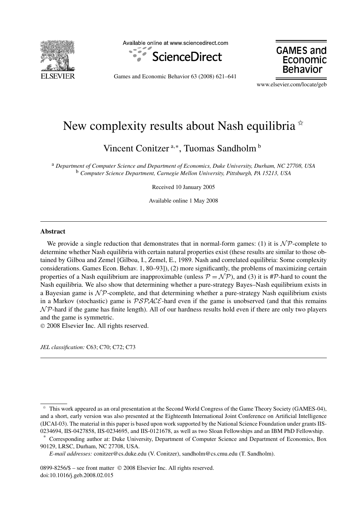

Available online at www.sciencedirect.com



**GAMES and** Economic **Behavior** 

Games and Economic Behavior 63 (2008) 621–641

www.elsevier.com/locate/geb

## New complexity results about Nash equilibria  $*$

Vincent Conitzer <sup>a</sup>*,*<sup>∗</sup> , Tuomas Sandholm <sup>b</sup>

<sup>a</sup> *Department of Computer Science and Department of Economics, Duke University, Durham, NC 27708, USA* <sup>b</sup> *Computer Science Department, Carnegie Mellon University, Pittsburgh, PA 15213, USA*

Received 10 January 2005

Available online 1 May 2008

## **Abstract**

We provide a single reduction that demonstrates that in normal-form games: (1) it is  $N\mathcal{P}$ -complete to determine whether Nash equilibria with certain natural properties exist (these results are similar to those obtained by Gilboa and Zemel [Gilboa, I., Zemel, E., 1989. Nash and correlated equilibria: Some complexity considerations. Games Econ. Behav. 1, 80–93]), (2) more significantly, the problems of maximizing certain properties of a Nash equilibrium are inapproximable (unless  $P = \mathcal{NP}$ ), and (3) it is #P-hard to count the Nash equilibria. We also show that determining whether a pure-strategy Bayes–Nash equilibrium exists in a Bayesian game is  $N \mathcal{P}$ -complete, and that determining whether a pure-strategy Nash equilibrium exists in a Markov (stochastic) game is  $\mathcal{PSPACE}$ -hard even if the game is unobserved (and that this remains  $N$ P-hard if the game has finite length). All of our hardness results hold even if there are only two players and the game is symmetric.

© 2008 Elsevier Inc. All rights reserved.

*JEL classification:* C63; C70; C72; C73

0899-8256/\$ – see front matter © 2008 Elsevier Inc. All rights reserved. doi:10.1016/j.geb.2008.02.015

 $\star$  This work appeared as an oral presentation at the Second World Congress of the Game Theory Society (GAMES-04), and a short, early version was also presented at the Eighteenth International Joint Conference on Artificial Intelligence (IJCAI-03). The material in this paper is based upon work supported by the National Science Foundation under grants IIS-0234694, IIS-0427858, IIS-0234695, and IIS-0121678, as well as two Sloan Fellowships and an IBM PhD Fellowship.

<sup>\*</sup> Corresponding author at: Duke University, Department of Computer Science and Department of Economics, Box 90129, LRSC, Durham, NC 27708, USA.

*E-mail addresses:* conitzer@cs.duke.edu (V. Conitzer), sandholm@cs.cmu.edu (T. Sandholm).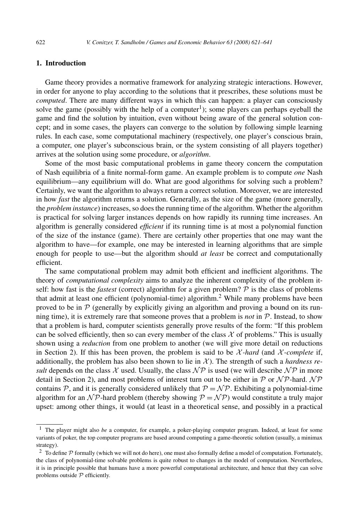## **1. Introduction**

Game theory provides a normative framework for analyzing strategic interactions. However, in order for anyone to play according to the solutions that it prescribes, these solutions must be *computed*. There are many different ways in which this can happen: a player can consciously solve the game (possibly with the help of a computer<sup>1</sup>); some players can perhaps eyeball the game and find the solution by intuition, even without being aware of the general solution concept; and in some cases, the players can converge to the solution by following simple learning rules. In each case, some computational machinery (respectively, one player's conscious brain, a computer, one player's subconscious brain, or the system consisting of all players together) arrives at the solution using some procedure, or *algorithm*.

Some of the most basic computational problems in game theory concern the computation of Nash equilibria of a finite normal-form game. An example problem is to compute *one* Nash equilibrium—any equilibrium will do. What are good algorithms for solving such a problem? Certainly, we want the algorithm to always return a correct solution. Moreover, we are interested in how *fast* the algorithm returns a solution. Generally, as the size of the game (more generally, the *problem instance*) increases, so does the running time of the algorithm. Whether the algorithm is practical for solving larger instances depends on how rapidly its running time increases. An algorithm is generally considered *efficient* if its running time is at most a polynomial function of the size of the instance (game). There are certainly other properties that one may want the algorithm to have—for example, one may be interested in learning algorithms that are simple enough for people to use—but the algorithm should *at least* be correct and computationally efficient.

The same computational problem may admit both efficient and inefficient algorithms. The theory of *computational complexity* aims to analyze the inherent complexity of the problem itself: how fast is the *fastest* (correct) algorithm for a given problem?  $\overline{P}$  is the class of problems that admit at least one efficient (polynomial-time) algorithm.2 While many problems have been proved to be in  $\mathcal P$  (generally by explicitly giving an algorithm and proving a bound on its running time), it is extremely rare that someone proves that a problem is *not* in P. Instead, to show that a problem is hard, computer scientists generally prove results of the form: "If this problem can be solved efficiently, then so can every member of the class  $\mathcal X$  of problems." This is usually shown using a *reduction* from one problem to another (we will give more detail on reductions in Section 2). If this has been proven, the problem is said to be  $\mathcal{X}$ -*hard* (and  $\mathcal{X}$ -*complete* if, additionally, the problem has also been shown to lie in  $X$ ). The strength of such a *hardness result* depends on the class  $\mathcal X$  used. Usually, the class  $\mathcal N \mathcal P$  is used (we will describe  $\mathcal N \mathcal P$  in more detail in Section 2), and most problems of interest turn out to be either in  $\mathcal P$  or  $\mathcal NP$ -hard.  $\mathcal NP$ contains  $P$ , and it is generally considered unlikely that  $P = \mathcal{NP}$ . Exhibiting a polynomial-time algorithm for an  $N \mathcal{P}$ -hard problem (thereby showing  $\mathcal{P} = N \mathcal{P}$ ) would constitute a truly major upset: among other things, it would (at least in a theoretical sense, and possibly in a practical

<sup>&</sup>lt;sup>1</sup> The player might also *be* a computer, for example, a poker-playing computer program. Indeed, at least for some variants of poker, the top computer programs are based around computing a game-theoretic solution (usually, a minimax strategy).

<sup>&</sup>lt;sup>2</sup> To define  $P$  formally (which we will not do here), one must also formally define a model of computation. Fortunately, the class of polynomial-time solvable problems is quite robust to changes in the model of computation. Nevertheless, it is in principle possible that humans have a more powerful computational architecture, and hence that they can solve problems outside  $P$  efficiently.